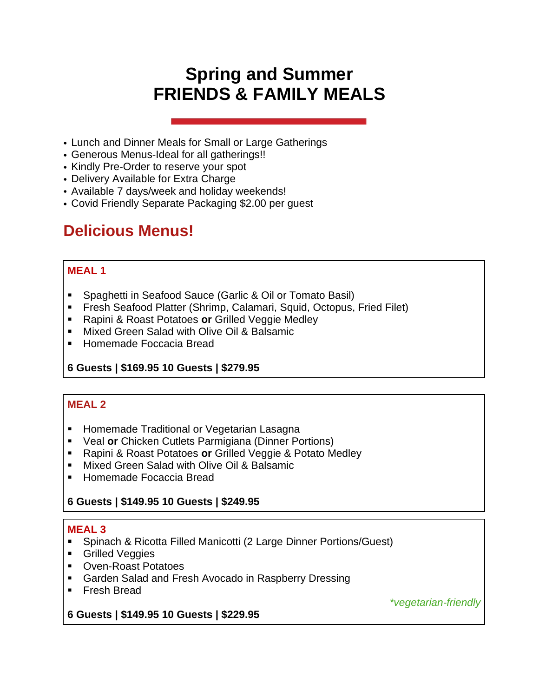# **Spring and Summer FRIENDS & FAMILY MEALS**

- Lunch and Dinner Meals for Small or Large Gatherings
- Generous Menus-Ideal for all gatherings!!
- Kindly Pre-Order to reserve your spot
- Delivery Available for Extra Charge
- Available 7 days/week and holiday weekends!
- Covid Friendly Separate Packaging \$2.00 per guest

## **Delicious Menus!**

#### **MEAL 1**

- Spaghetti in Seafood Sauce (Garlic & Oil or Tomato Basil)
- **Fresh Seafood Platter (Shrimp, Calamari, Squid, Octopus, Fried Filet)**
- Rapini & Roast Potatoes or Grilled Veggie Medley
- Mixed Green Salad with Olive Oil & Balsamic
- Homemade Foccacia Bread

## **6 Guests | \$169.95 10 Guests | \$279.95**

## **MEAL 2**

- Homemade Traditional or Vegetarian Lasagna
- Veal **or** Chicken Cutlets Parmigiana (Dinner Portions)
- Rapini & Roast Potatoes **or** Grilled Veggie & Potato Medley
- **Mixed Green Salad with Olive Oil & Balsamic**
- Homemade Focaccia Bread

## **6 Guests | \$149.95 10 Guests | \$249.95**

#### **MEAL 3**

- Spinach & Ricotta Filled Manicotti (2 Large Dinner Portions/Guest)
- Grilled Veggies
- Oven-Roast Potatoes
- Garden Salad and Fresh Avocado in Raspberry Dressing
- Fresh Bread

*\*vegetarian-friendly*

## **6 Guests | \$149.95 10 Guests | \$229.95**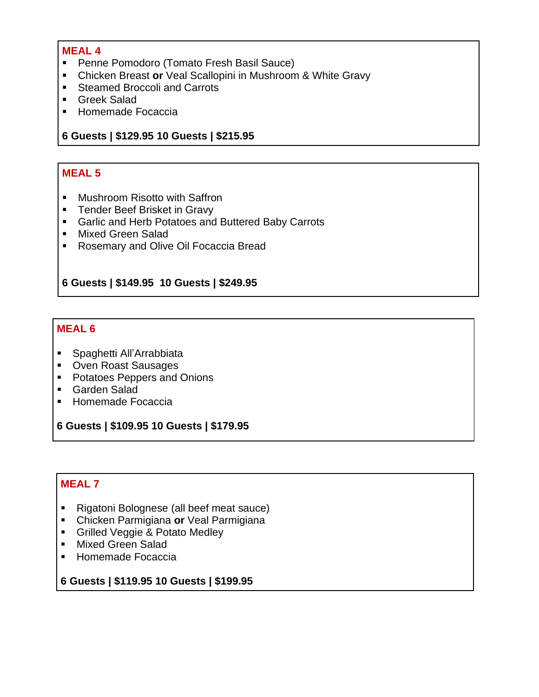- Penne Pomodoro (Tomato Fresh Basil Sauce)
- Chicken Breast **or** Veal Scallopini in Mushroom & White Gravy
- Steamed Broccoli and Carrots
- Greek Salad
- Homemade Focaccia

#### **6 Guests | \$129.95 10 Guests | \$215.95**

#### **MEAL 5**

- Mushroom Risotto with Saffron
- **EXEC** Tender Beef Brisket in Gravy
- Garlic and Herb Potatoes and Buttered Baby Carrots
- Mixed Green Salad
- Rosemary and Olive Oil Focaccia Bread

#### **6 Guests | \$149.95 10 Guests | \$249.95**

#### **MEAL 6**

- Spaghetti All'Arrabbiata
- Oven Roast Sausages
- Potatoes Peppers and Onions
- Garden Salad
- Homemade Focaccia

**6 Guests | \$109.95 10 Guests | \$179.95**

## **MEAL 7**

- Rigatoni Bolognese (all beef meat sauce)
- Chicken Parmigiana **or** Veal Parmigiana
- **E** Grilled Veggie & Potato Medley
- Mixed Green Salad
- Homemade Focaccia

**6 Guests | \$119.95 10 Guests | \$199.95**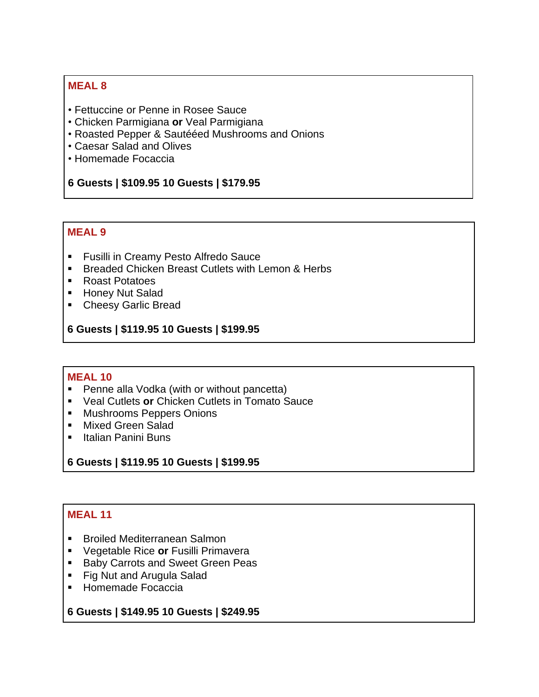- Fettuccine or Penne in Rosee Sauce
- Chicken Parmigiana **or** Veal Parmigiana
- Roasted Pepper & Sautééed Mushrooms and Onions
- Caesar Salad and Olives
- Homemade Focaccia

#### **6 Guests | \$109.95 10 Guests | \$179.95**

#### **MEAL 9**

- Fusilli in Creamy Pesto Alfredo Sauce
- Breaded Chicken Breast Cutlets with Lemon & Herbs
- Roast Potatoes
- Honey Nut Salad
- Cheesy Garlic Bread

**6 Guests | \$119.95 10 Guests | \$199.95**

#### **MEAL 10**

- Penne alla Vodka (with or without pancetta)
- Veal Cutlets **or** Chicken Cutlets in Tomato Sauce
- Mushrooms Peppers Onions
- Mixed Green Salad
- Italian Panini Buns

#### **6 Guests | \$119.95 10 Guests | \$199.95**

#### **MEAL 11**

- Broiled Mediterranean Salmon
- Vegetable Rice **or** Fusilli Primavera
- Baby Carrots and Sweet Green Peas
- Fig Nut and Arugula Salad
- Homemade Focaccia

**6 Guests | \$149.95 10 Guests | \$249.95**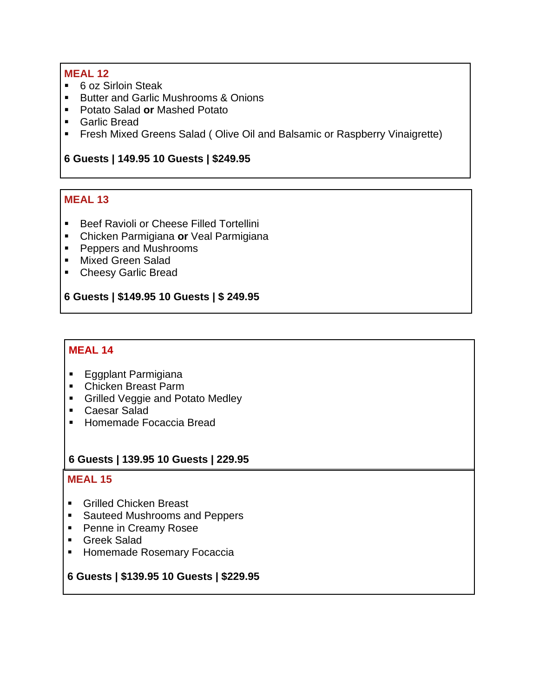- 6 oz Sirloin Steak
- Butter and Garlic Mushrooms & Onions
- Potato Salad or Mashed Potato
- Garlic Bread
- **•** Fresh Mixed Greens Salad (Olive Oil and Balsamic or Raspberry Vinaigrette)

#### **6 Guests | 149.95 10 Guests | \$249.95**

## **MEAL 13**

- Beef Ravioli or Cheese Filled Tortellini
- Chicken Parmigiana **or** Veal Parmigiana
- Peppers and Mushrooms
- Mixed Green Salad
- Cheesy Garlic Bread

#### **6 Guests | \$149.95 10 Guests | \$ 249.95**

#### **MEAL 14**

- Eggplant Parmigiana
- Chicken Breast Parm
- **Grilled Veggie and Potato Medley**
- Caesar Salad
- Homemade Focaccia Bread

#### **6 Guests | 139.95 10 Guests | 229.95**

#### **MEAL 15**

- Grilled Chicken Breast
- Sauteed Mushrooms and Peppers
- Penne in Creamy Rosee
- Greek Salad
- Homemade Rosemary Focaccia

#### **6 Guests | \$139.95 10 Guests | \$229.95**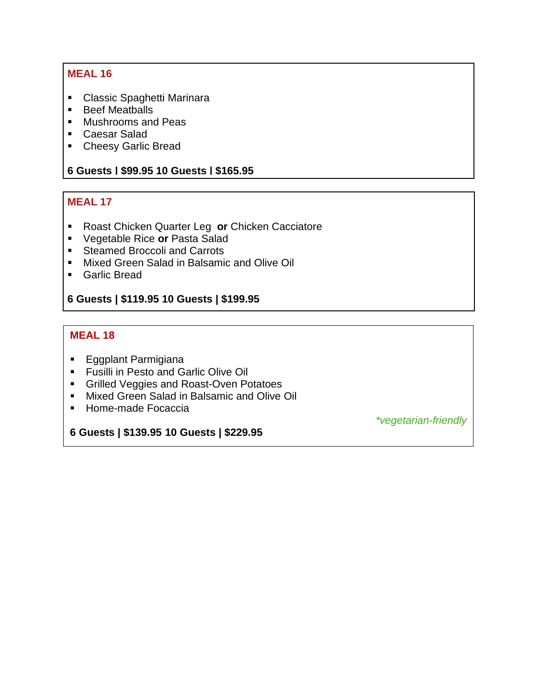- Classic Spaghetti Marinara
- Beef Meatballs
- Mushrooms and Peas
- Caesar Salad
- Cheesy Garlic Bread

#### **6 Guests | \$99.95 10 Guests | \$165.95**

#### **MEAL 17**

- Roast Chicken Quarter Leg or Chicken Cacciatore
- Vegetable Rice **or** Pasta Salad
- Steamed Broccoli and Carrots
- Mixed Green Salad in Balsamic and Olive Oil
- Garlic Bread

#### **6 Guests | \$119.95 10 Guests | \$199.95**

### **MEAL 18**

- Eggplant Parmigiana
- **EXECT:** Fusilli in Pesto and Garlic Olive Oil
- **Grilled Veggies and Roast-Oven Potatoes**
- **■** Mixed Green Salad in Balsamic and Olive Oil
- Home-made Focaccia

**6 Guests | \$139.95 10 Guests | \$229.95**

*\*vegetarian-friendly*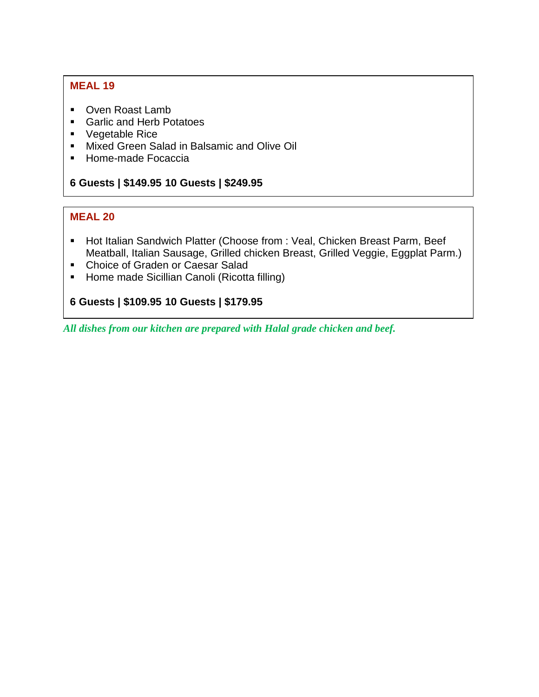- Oven Roast Lamb
- Garlic and Herb Potatoes
- Vegetable Rice
- Mixed Green Salad in Balsamic and Olive Oil
- Home-made Focaccia

#### **6 Guests | \$149.95 10 Guests | \$249.95**

#### **MEAL 20**

- Hot Italian Sandwich Platter (Choose from : Veal, Chicken Breast Parm, Beef Meatball, Italian Sausage, Grilled chicken Breast, Grilled Veggie, Eggplat Parm.)
- Choice of Graden or Caesar Salad
- Home made Sicillian Canoli (Ricotta filling)

## **6 Guests | \$109.95 10 Guests | \$179.95**

*All dishes from our kitchen are prepared with Halal grade chicken and beef.*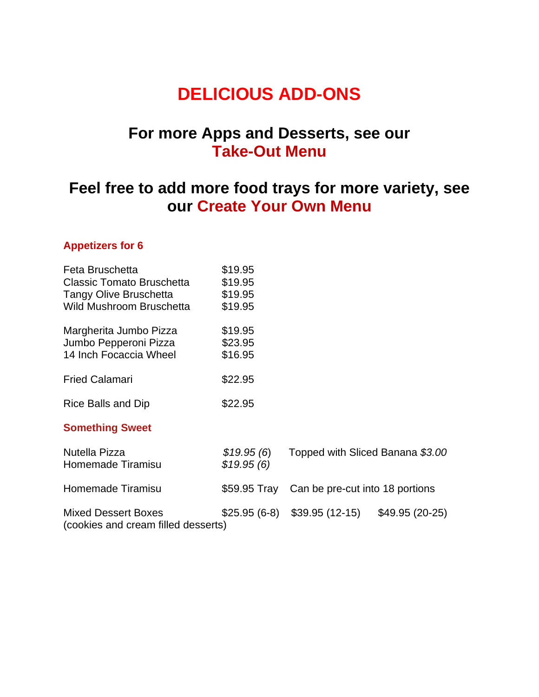# **DELICIOUS ADD-ONS**

## **For more Apps and Desserts, see our Take-Out Menu**

## **Feel free to add more food trays for more variety, see our Create Your Own Menu**

## **Appetizers for 6**

| Feta Bruschetta                                                   | \$19.95    |                                              |                 |
|-------------------------------------------------------------------|------------|----------------------------------------------|-----------------|
| Classic Tomato Bruschetta                                         | \$19.95    |                                              |                 |
| <b>Tangy Olive Bruschetta</b>                                     | \$19.95    |                                              |                 |
| Wild Mushroom Bruschetta                                          | \$19.95    |                                              |                 |
| Margherita Jumbo Pizza                                            | \$19.95    |                                              |                 |
| Jumbo Pepperoni Pizza                                             | \$23.95    |                                              |                 |
| 14 Inch Focaccia Wheel                                            | \$16.95    |                                              |                 |
| <b>Fried Calamari</b>                                             | \$22.95    |                                              |                 |
| Rice Balls and Dip                                                | \$22.95    |                                              |                 |
| <b>Something Sweet</b>                                            |            |                                              |                 |
| Nutella Pizza                                                     | \$19.95(6) | Topped with Sliced Banana \$3.00             |                 |
| Homemade Tiramisu                                                 | \$19.95(6) |                                              |                 |
| Homemade Tiramisu                                                 |            | \$59.95 Tray Can be pre-cut into 18 portions |                 |
|                                                                   |            |                                              |                 |
| <b>Mixed Dessert Boxes</b><br>(cookies and cream filled desserts) |            | $$25.95(6-8)$ $$39.95(12-15)$                | $$49.95(20-25)$ |
|                                                                   |            |                                              |                 |